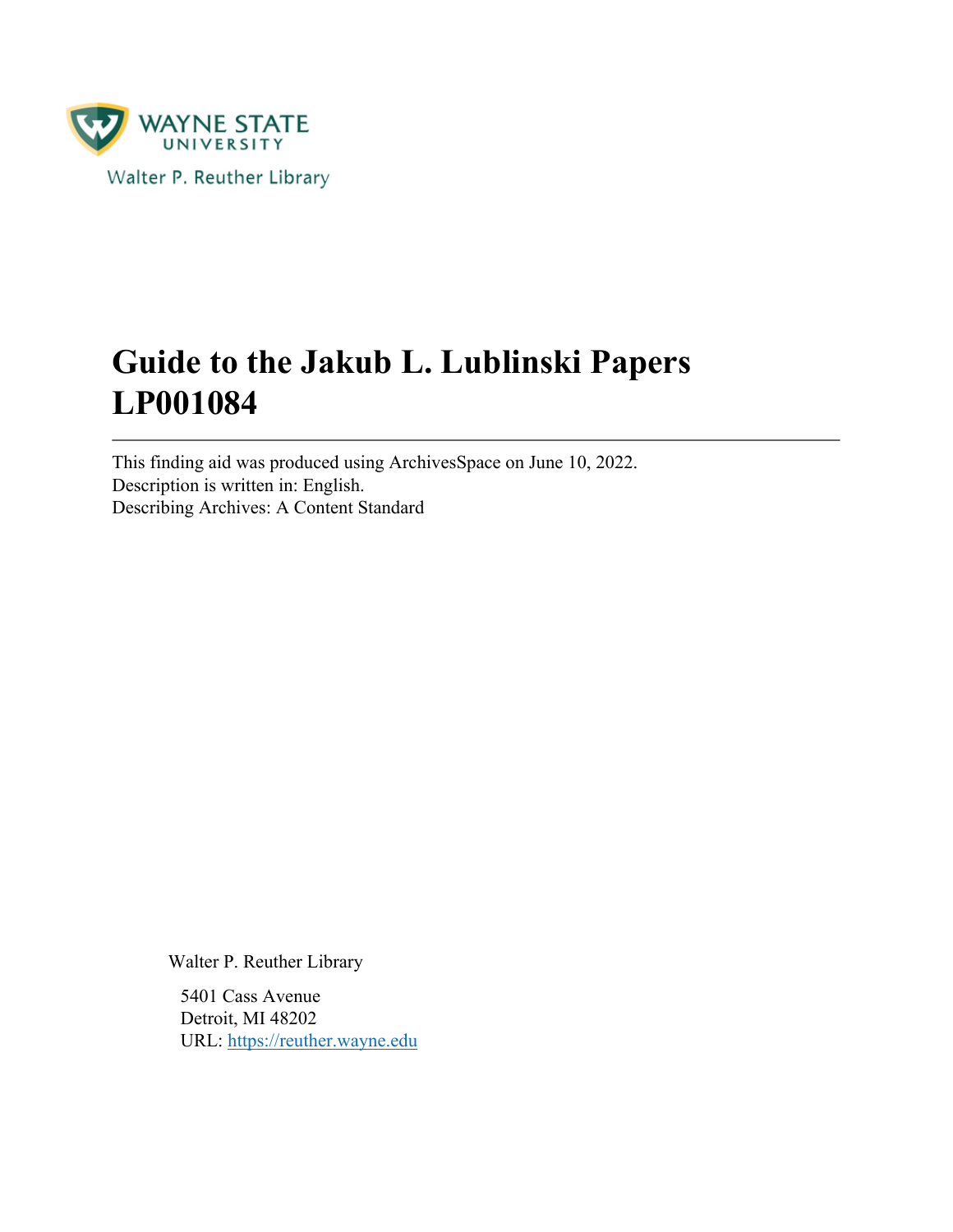

# **Guide to the Jakub L. Lublinski Papers LP001084**

This finding aid was produced using ArchivesSpace on June 10, 2022. Description is written in: English. Describing Archives: A Content Standard

Walter P. Reuther Library

5401 Cass Avenue Detroit, MI 48202 URL:<https://reuther.wayne.edu>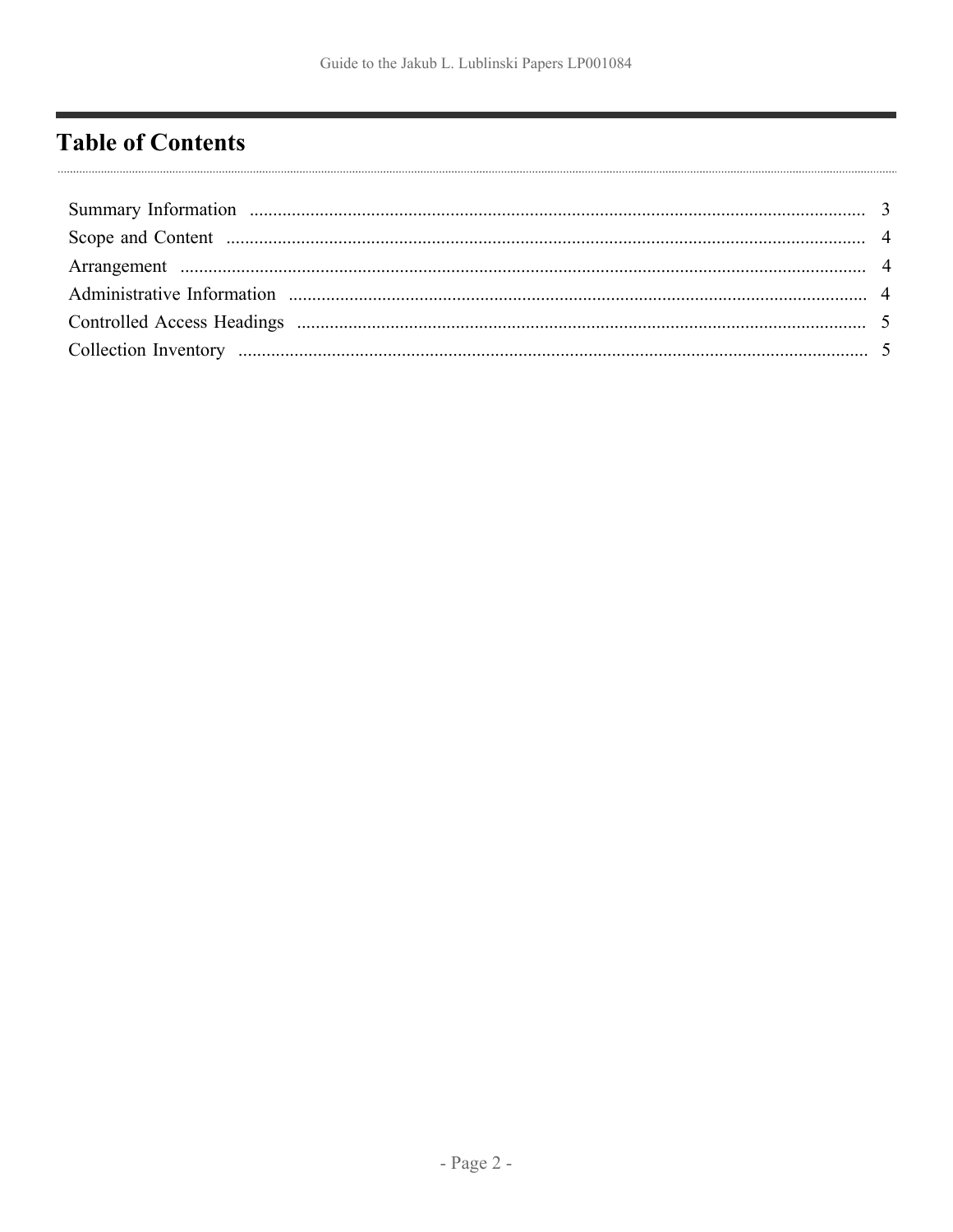# <span id="page-1-0"></span>**Table of Contents**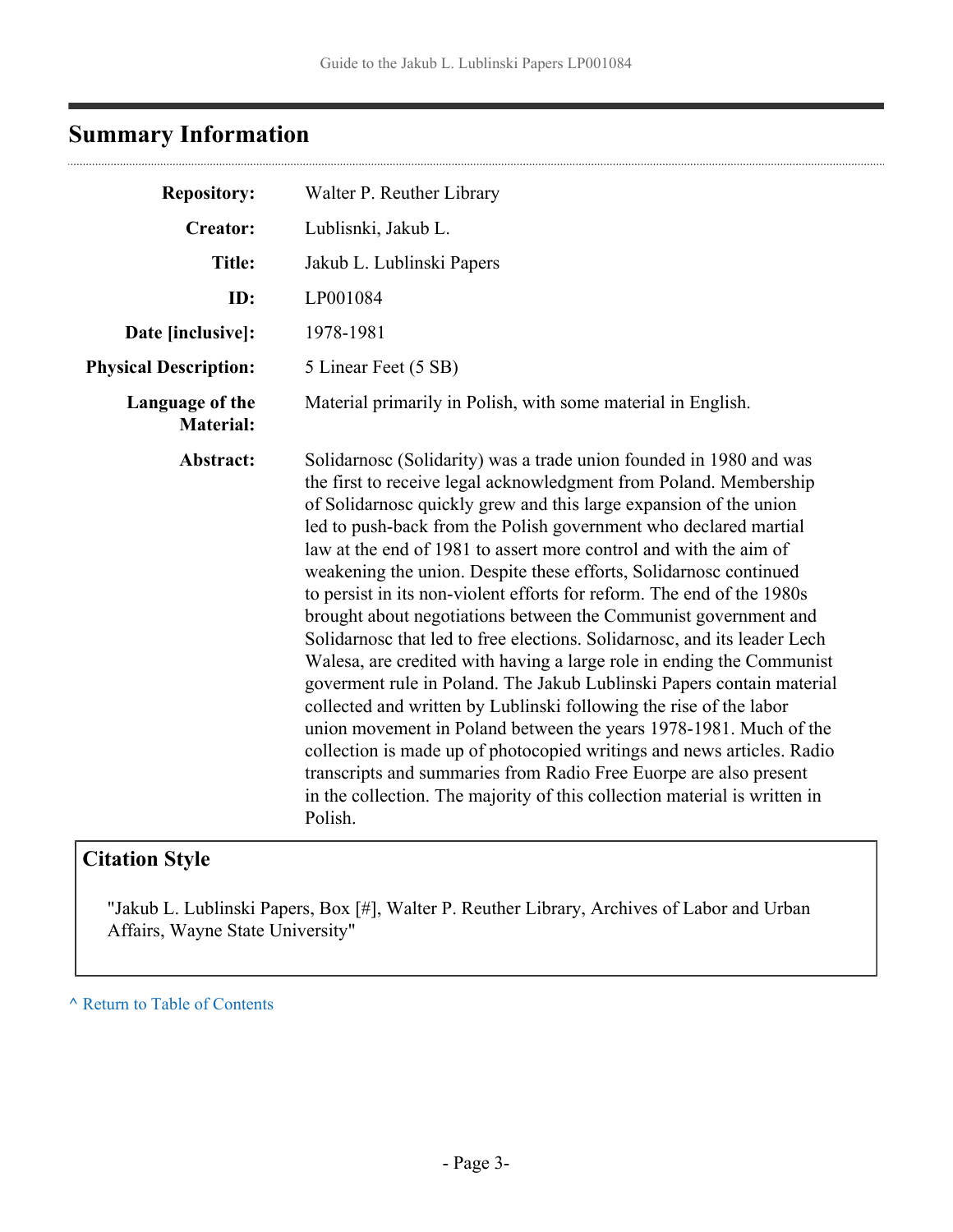# <span id="page-2-0"></span>**Summary Information**

. . . . . . . . . . . . . . . . .

| <b>Repository:</b>                  | Walter P. Reuther Library                                                                                                                                                                                                                                                                                                                                                                                                                                                                                                                                                                                                                                                                                                                                                                                                                                                                                                                                                                                                                                                                                                                                                               |
|-------------------------------------|-----------------------------------------------------------------------------------------------------------------------------------------------------------------------------------------------------------------------------------------------------------------------------------------------------------------------------------------------------------------------------------------------------------------------------------------------------------------------------------------------------------------------------------------------------------------------------------------------------------------------------------------------------------------------------------------------------------------------------------------------------------------------------------------------------------------------------------------------------------------------------------------------------------------------------------------------------------------------------------------------------------------------------------------------------------------------------------------------------------------------------------------------------------------------------------------|
| <b>Creator:</b>                     | Lublisnki, Jakub L.                                                                                                                                                                                                                                                                                                                                                                                                                                                                                                                                                                                                                                                                                                                                                                                                                                                                                                                                                                                                                                                                                                                                                                     |
| <b>Title:</b>                       | Jakub L. Lublinski Papers                                                                                                                                                                                                                                                                                                                                                                                                                                                                                                                                                                                                                                                                                                                                                                                                                                                                                                                                                                                                                                                                                                                                                               |
| ID:                                 | LP001084                                                                                                                                                                                                                                                                                                                                                                                                                                                                                                                                                                                                                                                                                                                                                                                                                                                                                                                                                                                                                                                                                                                                                                                |
| Date [inclusive]:                   | 1978-1981                                                                                                                                                                                                                                                                                                                                                                                                                                                                                                                                                                                                                                                                                                                                                                                                                                                                                                                                                                                                                                                                                                                                                                               |
| <b>Physical Description:</b>        | 5 Linear Feet (5 SB)                                                                                                                                                                                                                                                                                                                                                                                                                                                                                                                                                                                                                                                                                                                                                                                                                                                                                                                                                                                                                                                                                                                                                                    |
| Language of the<br><b>Material:</b> | Material primarily in Polish, with some material in English.                                                                                                                                                                                                                                                                                                                                                                                                                                                                                                                                                                                                                                                                                                                                                                                                                                                                                                                                                                                                                                                                                                                            |
| Abstract:                           | Solidarnosc (Solidarity) was a trade union founded in 1980 and was<br>the first to receive legal acknowledgment from Poland. Membership<br>of Solidarnosc quickly grew and this large expansion of the union<br>led to push-back from the Polish government who declared martial<br>law at the end of 1981 to assert more control and with the aim of<br>weakening the union. Despite these efforts, Solidarnosc continued<br>to persist in its non-violent efforts for reform. The end of the 1980s<br>brought about negotiations between the Communist government and<br>Solidarnosc that led to free elections. Solidarnosc, and its leader Lech<br>Walesa, are credited with having a large role in ending the Communist<br>goverment rule in Poland. The Jakub Lublinski Papers contain material<br>collected and written by Lublinski following the rise of the labor<br>union movement in Poland between the years 1978-1981. Much of the<br>collection is made up of photocopied writings and news articles. Radio<br>transcripts and summaries from Radio Free Euorpe are also present<br>in the collection. The majority of this collection material is written in<br>Polish. |

# **Citation Style**

"Jakub L. Lublinski Papers, Box [#], Walter P. Reuther Library, Archives of Labor and Urban Affairs, Wayne State University"

**^** [Return to Table of Contents](#page-1-0)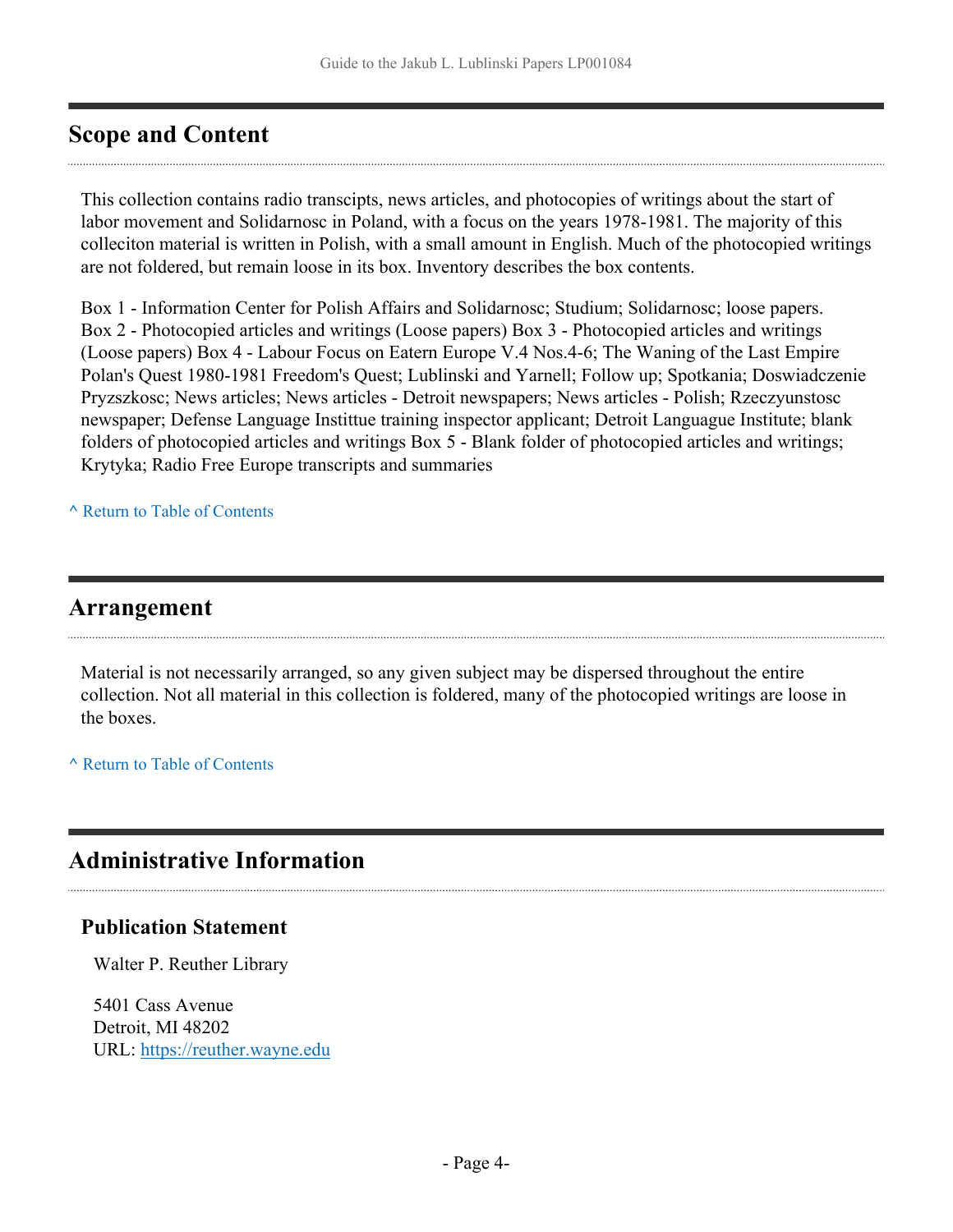### <span id="page-3-0"></span>**Scope and Content**

This collection contains radio transcipts, news articles, and photocopies of writings about the start of labor movement and Solidarnosc in Poland, with a focus on the years 1978-1981. The majority of this colleciton material is written in Polish, with a small amount in English. Much of the photocopied writings are not foldered, but remain loose in its box. Inventory describes the box contents.

Box 1 - Information Center for Polish Affairs and Solidarnosc; Studium; Solidarnosc; loose papers. Box 2 - Photocopied articles and writings (Loose papers) Box 3 - Photocopied articles and writings (Loose papers) Box 4 - Labour Focus on Eatern Europe V.4 Nos.4-6; The Waning of the Last Empire Polan's Quest 1980-1981 Freedom's Quest; Lublinski and Yarnell; Follow up; Spotkania; Doswiadczenie Pryzszkosc; News articles; News articles - Detroit newspapers; News articles - Polish; Rzeczyunstosc newspaper; Defense Language Instittue training inspector applicant; Detroit Languague Institute; blank folders of photocopied articles and writings Box 5 - Blank folder of photocopied articles and writings; Krytyka; Radio Free Europe transcripts and summaries

**^** [Return to Table of Contents](#page-1-0)

#### <span id="page-3-1"></span>**Arrangement**

Material is not necessarily arranged, so any given subject may be dispersed throughout the entire collection. Not all material in this collection is foldered, many of the photocopied writings are loose in the boxes.

**^** [Return to Table of Contents](#page-1-0)

### <span id="page-3-2"></span>**Administrative Information**

#### **Publication Statement**

Walter P. Reuther Library

5401 Cass Avenue Detroit, MI 48202 URL:<https://reuther.wayne.edu>